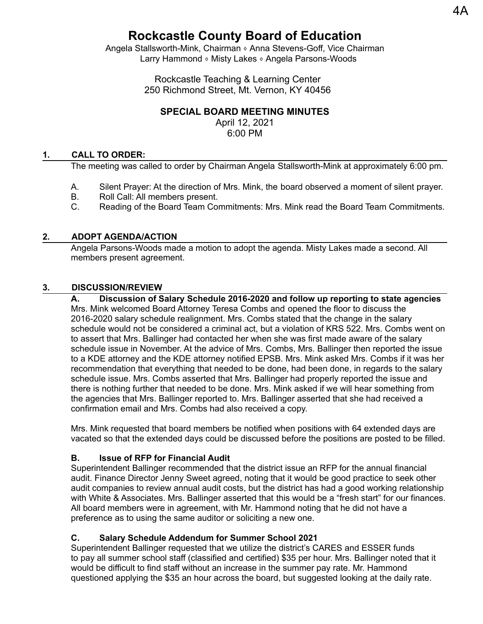# **Rockcastle County Board of Education**

Angela Stallsworth-Mink, Chairman & Anna Stevens-Goff, Vice Chairman Larry Hammond ⬧ Misty Lakes ⬧ Angela Parsons-Woods

> Rockcastle Teaching & Learning Center 250 Richmond Street, Mt. Vernon, KY 40456

# **SPECIAL BOARD MEETING MINUTES**

April 12, 2021 6:00 PM

## **1. CALL TO ORDER:**

The meeting was called to order by Chairman Angela Stallsworth-Mink at approximately 6:00 pm.

- A. Silent Prayer: At the direction of Mrs. Mink, the board observed a moment of silent prayer.
- B. Roll Call: All members present.
- C. Reading of the Board Team Commitments: Mrs. Mink read the Board Team Commitments.

#### **2. ADOPT AGENDA/ACTION**

Angela Parsons-Woods made a motion to adopt the agenda. Misty Lakes made a second. All members present agreement.

#### **3. DISCUSSION/REVIEW**

**A. Discussion of Salary Schedule 2016-2020 and follow up reporting to state agencies** Mrs. Mink welcomed Board Attorney Teresa Combs and opened the floor to discuss the 2016-2020 salary schedule realignment. Mrs. Combs stated that the change in the salary schedule would not be considered a criminal act, but a violation of KRS 522. Mrs. Combs went on to assert that Mrs. Ballinger had contacted her when she was first made aware of the salary schedule issue in November. At the advice of Mrs. Combs, Mrs. Ballinger then reported the issue to a KDE attorney and the KDE attorney notified EPSB. Mrs. Mink asked Mrs. Combs if it was her recommendation that everything that needed to be done, had been done, in regards to the salary schedule issue. Mrs. Combs asserted that Mrs. Ballinger had properly reported the issue and there is nothing further that needed to be done. Mrs. Mink asked if we will hear something from the agencies that Mrs. Ballinger reported to. Mrs. Ballinger asserted that she had received a confirmation email and Mrs. Combs had also received a copy.

Mrs. Mink requested that board members be notified when positions with 64 extended days are vacated so that the extended days could be discussed before the positions are posted to be filled.

### **B. Issue of RFP for Financial Audit**

Superintendent Ballinger recommended that the district issue an RFP for the annual financial audit. Finance Director Jenny Sweet agreed, noting that it would be good practice to seek other audit companies to review annual audit costs, but the district has had a good working relationship with White & Associates. Mrs. Ballinger asserted that this would be a "fresh start" for our finances. All board members were in agreement, with Mr. Hammond noting that he did not have a preference as to using the same auditor or soliciting a new one.

#### **C. Salary Schedule Addendum for Summer School 2021**

Superintendent Ballinger requested that we utilize the district's CARES and ESSER funds to pay all summer school staff (classified and certified) \$35 per hour. Mrs. Ballinger noted that it would be difficult to find staff without an increase in the summer pay rate. Mr. Hammond questioned applying the \$35 an hour across the board, but suggested looking at the daily rate.